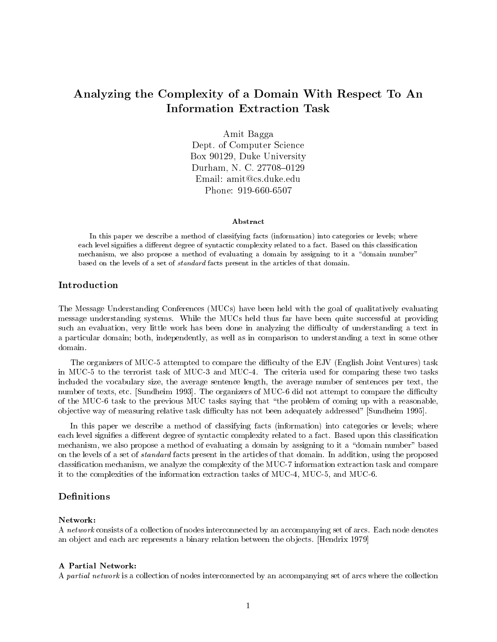# Analyzing the Complexity of a Domain With Respect To An

Amit Bagga Dept. of Computer Science Box 90129, Duke University Durham, N. C. 27708-0129 Email: amit@cs.duke.edu Phone: 919-660-6507

#### Abstract

In this paper we describe a method of classifying facts (information) into categories or levels; whereeach level signies a dierent degree of syntactic complexity related to a fact. Based on this classication mechanism, we also propose <sup>a</sup> method of evaluating <sup>a</sup> domain by assigning to it <sup>a</sup> \domain number" based on the levels of a set of standard facts present in the articles of that domain.

# Introduction

The Message Understanding Conferences (MUCs) have been held with the goal of qualitatively evaluating message understanding systems. While the MUCs held thus far have been quite successful at providing such an evaluation, very little work has been done in analyzing the difficulty of understanding a text in a particular domain; both, independently, as well as in comparison to understanding a text in some other

The organizers of MUC-5 attempted to compare the difficulty of the EJV (English Joint Ventures) task in MUC-5 to the terrorist task of MUC-3 and MUC-4. The criteria used for comparing these two tasks included the vocabulary size, the average sentence length, the average number of sentences per text, the number of texts, etc. [Sundheim 1993]. The organizers of MUC-6 did not attempt to compare the difficulty of the MUC-6 task to the previous MUC tasks saying that \the problem of coming up with a reasonable, objective way of measuring relative task difficulty has not been adequately addressed" [Sundheim 1995].

In this paper we describe a method of classifying facts (information) into categories or levels; where each level signifies a different degree of syntactic complexity related to a fact. Based upon this classification mechanism, we also propose a method of evaluating a domain by assigning to it a "domain number" based on the levels of a set of standard facts present in the articles of that domain. In addition, using the proposed classication mechanism, we analyze the complexity of the MUC-7 information extraction task and compare it to the complexities of the information extraction tasks of MUC-4, MUC-5, and MUC-6.

#### **Definitions**

#### Network:

A network consists of a collection of nodes interconnected by an accompanying set of arcs. Each node denotes an ob ject and each arc represents a binary relation between the ob jects. [Hendrix 1979]

#### A Partial Network:

A partial network is a collection of nodes interconnected by an accompanying set of arcs where the collection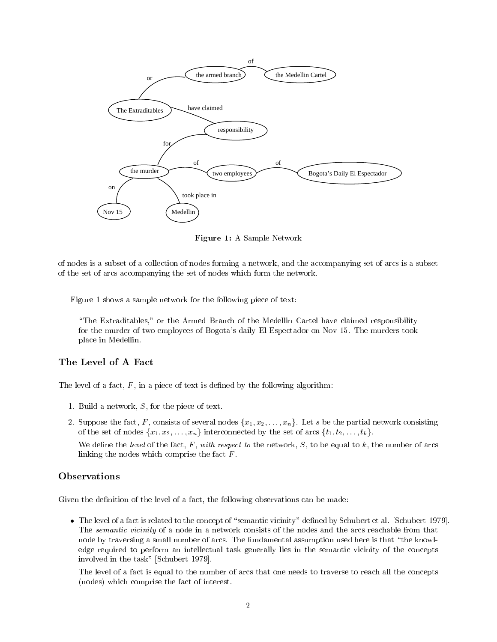

Figure 1: A Sample Network

of nodes is a subset of a collection of nodes forming a network, and the accompanying set of arcs is a subset of the set of arcs accompanying the set of nodes which form the network.

Figure 1 shows a sample network for the following piece of text:

\The Extraditables," or the Armed Branch of the Medellin Cartel have claimed responsibility for the murder of two employees of Bogota's daily El Espectador on Nov 15. The murders took place in Medellin.

The level of a fact,  $F$ , in a piece of text is defined by the following algorithm:

- 1. Build a network, S, for the piece of text.
- 2. Suppose the fact, F, consists of several nodes  $\{x_1, x_2, \ldots, x_n\}$ . Let s be the partial network consisting of the set of nodes  $\{x_1, x_2, \ldots, x_n\}$  interconnected by the set of arcs  $\{t_1, t_2, \ldots, t_k\}.$

We define the level of the fact, F, with respect to the network, S, to be equal to k, the number of arcs linking the nodes which comprise the fact  $F$ .

# **Observations**

Given the definition of the level of a fact, the following observations can be made:

 $\bullet$  The level of a fact is related to the concept of "semantic vicinity" defined by Schubert et al. [Schubert 1979]. The semantic vicinity of a node in a network consists of the nodes and the arcs reachable from that node by traversing a small number of arcs. The fundamental assumption used here is that \the knowledge required to perform an intellectual task generally lies in the semantic vicinity of the concepts involved in the task" [Schubert 1979].

The level of a fact is equal to the number of arcs that one needs to traverse to reach all the concepts (nodes) which comprise the fact of interest.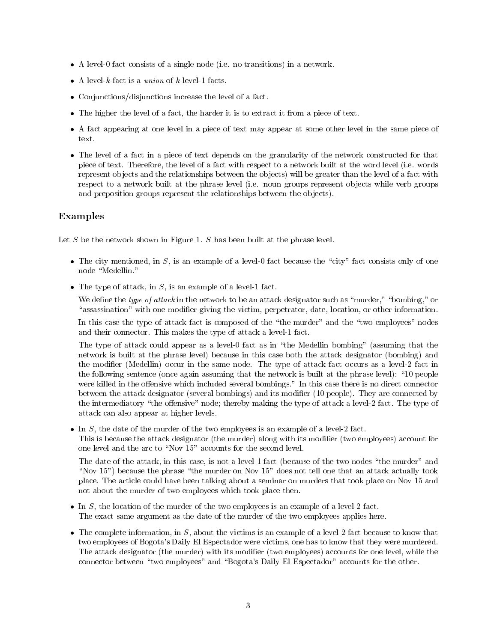- A level-0 fact consists of a single node (i.e. no transitions) in a network.
- A level-k fact is a  $union$  of k level-1 facts.
- $\bullet$  Conjunctions/disjunctions increase the level of a fact.
- $\bullet$  The higher the level of a fact, the harder it is to extract it from a piece of text.
- $\bullet$  A fact appearing at one level in a piece of text may appear at some other level in the same piece of  $\bullet$ text.
- $\bullet$  The level of a fact in a piece of text depends on the granularity of the network constructed for that piece of text. Therefore, the level of a fact with respect to a network built at the word level (i.e. words represent ob jects and the relationships between the ob jects) will be greater than the level of a fact with respect to a network built at the phrase level (i.e. noun groups represent ob jects while verb groups and preposition groups represent the relationships between the objects).

# Examples

Let  $S$  be the network shown in Figure 1.  $S$  has been built at the phrase level.

- $\bullet$  The city mentioned, in S, is an example of a level-0 fact because the "city" fact consists only of one node "Medellin."
- $\bullet$  The type of attack, in S, is an example of a level-1 fact.

We define the type of attack in the network to be an attack designator such as "murder," "bombing," or "assassination" with one modifier giving the victim, perpetrator, date, location, or other information.

In this case the type of attack fact is composed of the "the murder" and the "two employees" nodes and their connector. This makes the type of attack a level-1 fact.

The type of attack could appear as a level-0 fact as in "the Medellin bombing" (assuming that the network is built at the phrase level) because in this case both the attack designator (bombing) and the modier (Medellin) occur in the same node. The type of attack fact occurs as a level-2 fact in the following sentence (once again assuming that the network is built at the phrase level): \10 people were killed in the offensive which included several bombings." In this case there is no direct connector between the attack designator (several bombings) and its modier (10 people). They are connected by the intermediatory "the offensive" node; thereby making the type of attack a level-2 fact. The type of attack can also appear at higher levels.

 $\bullet$  In  $S$ , the date of the murder of the two employees is an example of a level-2 fact.

This is because the attack designator (the murder) along with its modifier (two employees) account for one level and the arc to "Nov 15" accounts for the second level.

The date of the attack, in this case, is not a level-1 fact (because of the two nodes "the murder" and "Nov  $15$ ") because the phrase "the murder on Nov  $15$ " does not tell one that an attack actually took place. The article could have been talking about a seminar on murders that took place on Nov 15 and not about the murder of two employees which took place then.

- $\bullet$  In  $S,$  the location of the murder of the two employees is an example of a level-2 fact. The exact same argument as the date of the murder of the two employees applies here.
- $\bullet$  The complete information, in S, about the victims is an example of a level-2 fact because to know that two employees of Bogota's Daily El Espectador were victims, one has to know that they were murdered. The attack designator (the murder) with its modifier (two employees) accounts for one level, while the connector between "two employees" and "Bogota's Daily El Espectador" accounts for the other.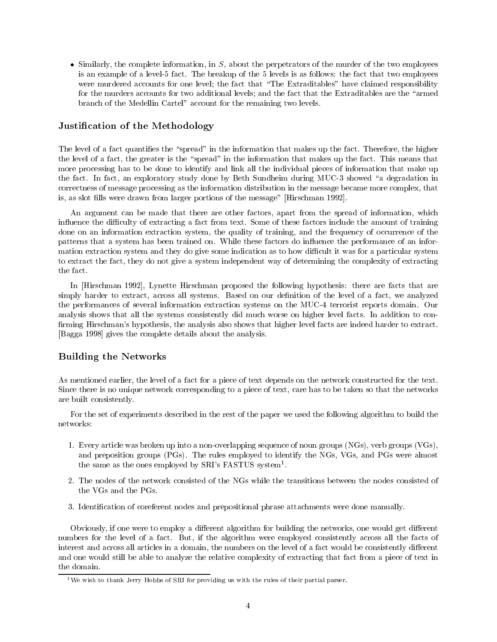$\bullet$  Similarly, the complete information, in S, about the perpetrators of the murder of the two employees is an example of a level-5 fact. The breakup of the 5 levels is as follows: the fact that two employees were murdered accounts for one level; the fact that "The Extraditables" have claimed responsibility for the murders accounts for two additional levels; and the fact that the Extraditables are the "armed branch of the Medellin Cartel" account for the remaining two levels.

# Justication of the Methodology

The level of a fact quantifies the "spread" in the information that makes up the fact. Therefore, the higher the level of a fact, the greater is the "spread" in the information that makes up the fact. This means that more processing has to be done to identify and link all the individual pieces of information that make up the fact. In fact, an exploratory study done by Beth Sundheim during MUC-3 showed "a degradation in correctness of message processing as the information distribution in the message became more complex, that is, as slot fills were drawn from larger portions of the message" [Hirschman 1992].

An argument can be made that there are other factors, apart from the spread of information, which influence the difficulty of extracting a fact from text. Some of these factors include the amount of training done on an information extraction system, the quality of training, and the frequency of occurrence of the patterns that a system has been trained on. While these factors do influence the performance of an information extraction system and they do give some indication as to how difficult it was for a particular system to extract the fact, they do not give a system independent way of determining the complexity of extracting the fact.

In [Hirschman 1992], Lynette Hirschman proposed the following hypothesis: there are facts that are simply harder to extract, across all systems. Based on our definition of the level of a fact, we analyzed the performances of several information extraction systems on the MUC-4 terrorist reports domain. Our analysis shows that all the systems consistently did much worse on higher level facts. In addition to con firming Hirschman's hypothesis, the analysis also shows that higher level facts are indeed harder to extract. [Bagga 1998] gives the complete details about the analysis.

# Building the Networks

As mentioned earlier, the level of a fact for a piece of text depends on the network constructed for the text. Since there is no unique network corresponding to a piece of text, care has to be taken so that the networks are built consistently.

For the set of experiments described in the rest of the paper we used the following algorithm to build the

- 1. Every article was broken up into a non-overlapping sequence of noun groups (NGs), verb groups (VGs), and preposition groups (PGs). The rules employed to identify the NGs, VGs, and PGs were almost the same as the ones employed by SRI's FASTUS system<sup>1</sup>.
- 2. The nodes of the network consisted of the NGs while the transitions between the nodes consisted of the VGs and the PGs.
- 3. Identication of coreferent nodes and prepositional phrase attachments were done manually.

Obviously, if one were to employ a different algorithm for building the networks, one would get different numbers for the level of a fact. But, if the algorithm were employed consistently across all the facts of interest and across all articles in a domain, the numbers on the level of a fact would be consistently different and one would still be able to analyze the relative complexity of extracting that fact from a piece of text in the domain.

<sup>&</sup>lt;sup>1</sup>We wish to thank Jerry Hobbs of SRI for providing us with the rules of their partial parser.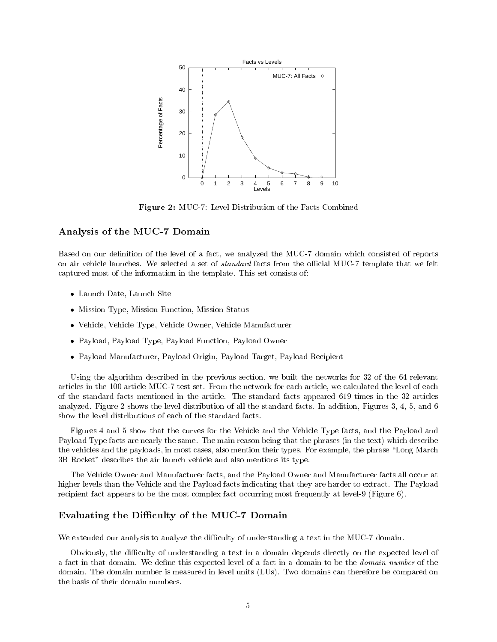

Figure 2: MUC-7: Level Distribution of the Facts Combined

# Analysis of the MUC-7 Domain

Based on our definition of the level of a fact, we analyzed the MUC-7 domain which consisted of reports on air vehicle launches. We selected a set of *standard* facts from the official MUC-7 template that we felt captured most of the information in the template. This set consists of:

- $\bullet$  Launch Date, Launch Site  $\hspace{0.1em}$
- $\bullet$  Mission Type, Mission Function, Mission Status
- $\bullet$  -vehicle, vehicle Type, vehicle Owner, vehicle Manufacturer
- $\bullet$  Payload, Payload Type, Payload Function, Payload Owner
- Payload Manufacturer, Payload Origin, Payload Target, Payload Recipient

Using the algorithm described in the previous section, we built the networks for 32 of the 64 relevant articles in the 100 article MUC-7 test set. From the network for each article, we calculated the level of each of the standard facts mentioned in the article. The standard facts appeared 619 times in the 32 articles analyzed. Figure 2 shows the level distribution of all the standard facts. In addition, Figures 3, 4, 5, and 6 show the level distributions of each of the standard facts.

Figures 4 and 5 show that the curves for the Vehicle and the Vehicle Type facts, and the Payload and Payload Type facts are nearly the same. The main reason being that the phrases (in the text) which describe the vehicles and the payloads, in most cases, also mention their types. For example, the phrase "Long March 3B Rocket" describes the air launch vehicle and also mentions its type.

The Vehicle Owner and Manufacturer facts, and the Payload Owner and Manufacturer facts all occur at higher levels than the Vehicle and the Payload facts indicating that they are harder to extract. The Payload recipient fact appears to be the most complex fact occurring most frequently at level-9 (Figure 6).

# Evaluating the Difficulty of the MUC-7 Domain

We extended our analysis to analyze the difficulty of understanding a text in the MUC-7 domain.

Obviously, the difficulty of understanding a text in a domain depends directly on the expected level of a fact in that domain. We define this expected level of a fact in a domain to be the *domain number* of the domain. The domain number is measured in level units (LUs). Two domains can therefore be compared on the basis of their domain numbers.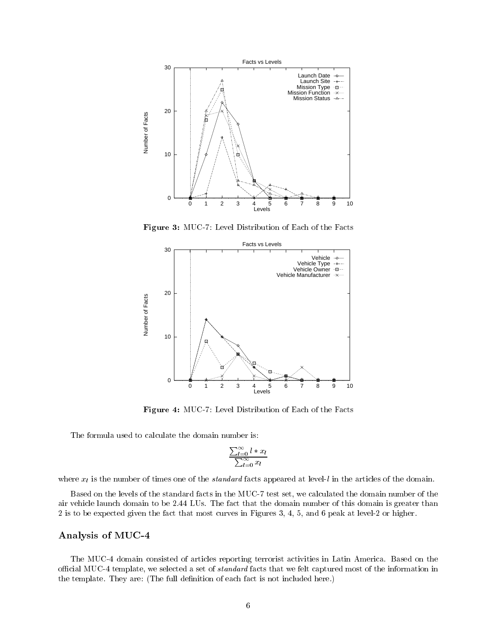

Figure 3: MUC-7: Level Distribution of Each of the Facts



Figure 4: MUC-7: Level Distribution of Each of the Facts

The formula used to calculate the domain number is:

$$
\frac{\sum_{l=0}^{\infty} l * x_l}{\sum_{l=0}^{\infty} x_l}
$$

where  $x_l$  is the number of times one of the *standard* facts appeared at level-l in the articles of the domain.

Based on the levels of the standard facts in the MUC-7 test set, we calculated the domain number of the air vehicle launch domain to be 2.44 LUs. The fact that the domain number of this domain is greater than 2 is to be expected given the fact that most curves in Figures 3, 4, 5, and 6 peak at level-2 or higher.

# Analysis of MUC-4

The MUC-4 domain consisted of articles reporting terrorist activities in Latin America. Based on the official MUC-4 template, we selected a set of *standard* facts that we felt captured most of the information in the template. They are: (The full definition of each fact is not included here.)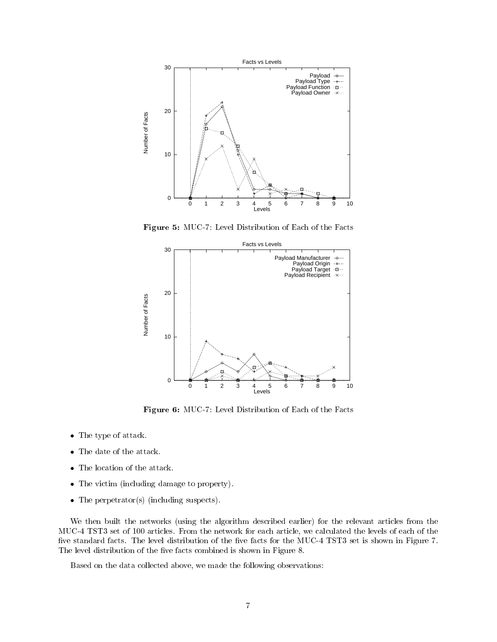

Figure 5: MUC-7: Level Distribution of Each of the Facts



Figure 6: MUC-7: Level Distribution of Each of the Facts

- $\bullet$  lne type of attack.
- $\bullet$  The date of the attack.
- $\bullet$  The location of the attack.
- $\bullet$  The victim (including damage to property).
- $\bullet$  The perpetrator(s) (including suspects).

We then built the networks (using the algorithm described earlier) for the relevant articles from the MUC-4 TST3 set of 100 articles. From the network for each article, we calculated the levels of each of the five standard facts. The level distribution of the five facts for the MUC-4 TST3 set is shown in Figure 7. The level distribution of the five facts combined is shown in Figure 8.

Based on the data collected above, we made the following observations: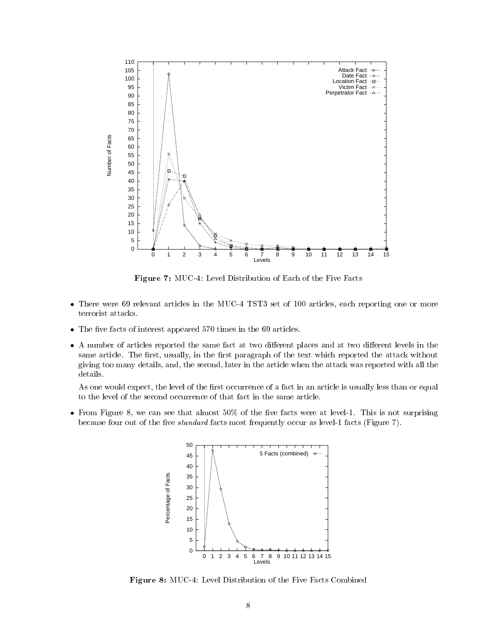

Figure 7: MUC-4: Level Distribution of Each of the Five Facts

- $\bullet$  lnere were by relevant articles in the MUC-4 IST3 set of 100 articles, each reporting one or more terrorist attacks.
- $\bullet$  The five facts of interest appeared 570 times in the 69 articles.
- $\bullet$  A number of articles reported the same fact at two different places and at two different levels in the same article. The first, usually, in the first paragraph of the text which reported the attack without giving too many details, and, the second, later in the article when the attack was reported with all the details.

As one would expect, the level of the first occurrence of a fact in an article is usually less than or equal to the level of the second occurrence of that fact in the same article.

 $\bullet$  from Figure 8, we can see that almost 50% of the five facts were at level-1. This is not surprising because four out of the five *standard* facts most frequently occur as level-1 facts (Figure 7).



Figure 8: MUC-4: Level Distribution of the Five Facts Combined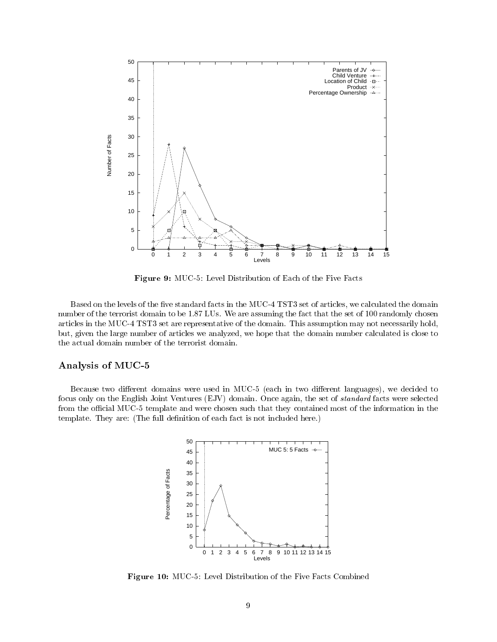

Figure 9: MUC-5: Level Distribution of Each of the Five Facts

Based on the levels of the five standard facts in the MUC-4 TST3 set of articles, we calculated the domain number of the terrorist domain to be 1.87 LUs. We are assuming the fact that the set of 100 randomly chosen articles in the MUC-4 TST3 set are representative of the domain. This assumption may not necessarily hold, but, given the large number of articles we analyzed, we hope that the domain number calculated is close to the actual domain number of the terrorist domain.

# Analysis of MUC-5

Because two different domains were used in MUC-5 (each in two different languages), we decided to focus only on the English Joint Ventures (EJV) domain. Once again, the set of *standard* facts were selected from the official MUC-5 template and were chosen such that they contained most of the information in the template. They are: (The full definition of each fact is not included here.)



Figure 10: MUC-5: Level Distribution of the Five Facts Combined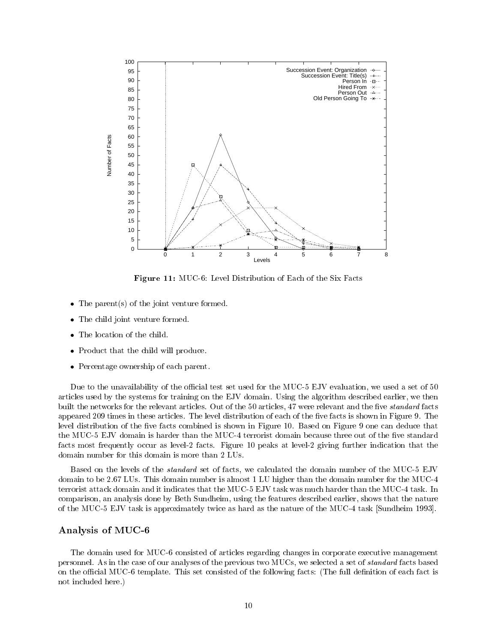

Figure 11: MUC-6: Level Distribution of Each of the Six Facts

- $\bullet$  lne parent(s) of the joint venture formed.
- $\bullet$  The child joint venture formed.
- $\bullet$  lne location of the child.
- $\bullet$  Product that the child will produce.
- Percentage ownership of each parent.

Due to the unavailability of the official test set used for the MUC-5 EJV evaluation, we used a set of 50 articles used by the systems for training on the EJV domain. Using the algorithm described earlier, we then built the networks for the relevant articles. Out of the 50 articles, 47 were relevant and the five *standard* facts appeared 209 times in these articles. The level distribution of each of the five facts is shown in Figure 9. The level distribution of the five facts combined is shown in Figure 10. Based on Figure 9 one can deduce that the MUC-5 EJV domain is harder than the MUC-4 terrorist domain because three out of the five standard facts most frequently occur as level-2 facts. Figure 10 peaks at level-2 giving further indication that the domain number for this domain is more than 2 LUs.

Based on the levels of the standard set of facts, we calculated the domain number of the MUC-5 EJV domain to be 2.67 LUs. This domain number is almost 1 LU higher than the domain number for the MUC-4 terrorist attack domain and it indicates that the MUC-5 EJV task was much harder than the MUC-4 task. In comparison, an analysis done by Beth Sundheim, using the features described earlier, shows that the nature of the MUC-5 EJV task is approximately twice as hard as the nature of the MUC-4 task [Sundheim 1993].

#### Analysis of MUC-6

The domain used for MUC-6 consisted of articles regarding changes in corporate executive management personnel. As in the case of our analyses of the previous two MUCs, we selected a set of standard facts based on the official MUC-6 template. This set consisted of the following facts: (The full definition of each fact is not included here.)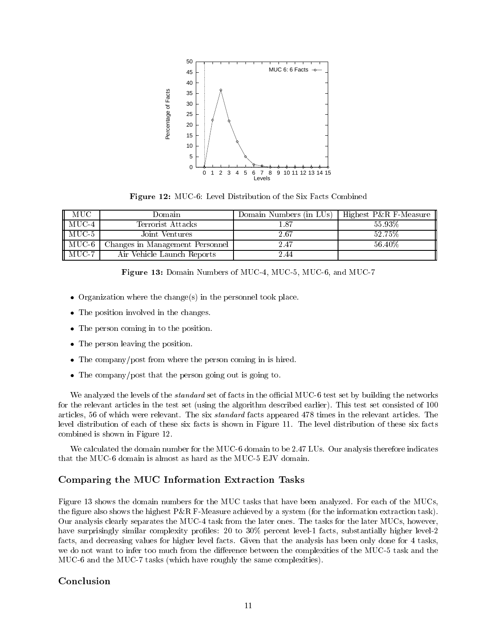

Figure 12: MUC-6: Level Distribution of the Six Facts Combined

| – MUC             | Domain                          | Domain Numbers (in LUs) | Highest $P\&R$ F-Measure |
|-------------------|---------------------------------|-------------------------|--------------------------|
| $MUC-4$           | Terrorist Attacks               |                         | 55.93%                   |
| $MUC-5$           | Joint Ventures                  | $2.67\,$                | 52 75%                   |
| $\parallel$ MUC-6 | Changes in Management Personnel | 2.47                    | 56.40\%                  |
| $MUC-7$           | Air Vehicle Launch Reports      | 244                     |                          |

- $\bullet$  Organization where the change(s) in the personnel took place.
- $\bullet$  The position involved in the changes.
- $\bullet$  The person coming in to the position.
- $\bullet$  The person leaving the position.
- $\bullet$  The company/post from where the person coming in is hired.
- $\bullet$  The company/post that the person going out is going to.

We analyzed the levels of the *standard* set of facts in the official MUC-6 test set by building the networks for the relevant articles in the test set (using the algorithm described earlier). This test set consisted of 100 articles, 56 of which were relevant. The six standard facts appeared 478 times in the relevant articles. The level distribution of each of these six facts is shown in Figure 11. The level distribution of these six facts combined is shown in Figure 12.

We calculated the domain number for the MUC-6 domain to be 2.47 LUs. Our analysis therefore indicates that the MUC-6 domain is almost as hard as the MUC-5 EJV domain.

# Comparing the MUC Information Extraction Tasks

Figure 13 shows the domain numbers for the MUC tasks that have been analyzed. For each of the MUCs, the figure also shows the highest  $P\&R$  F-Measure achieved by a system (for the information extraction task). Our analysis clearly separates the MUC-4 task from the later ones. The tasks for the later MUCs, however, have surprisingly similar complexity profiles: 20 to 30% percent level-1 facts, substantially higher level-2 facts, and decreasing values for higher level facts. Given that the analysis has been only done for 4 tasks, we do not want to infer too much from the difference between the complexities of the MUC-5 task and the MUC-6 and the MUC-7 tasks (which have roughly the same complexities).

# Conclusion